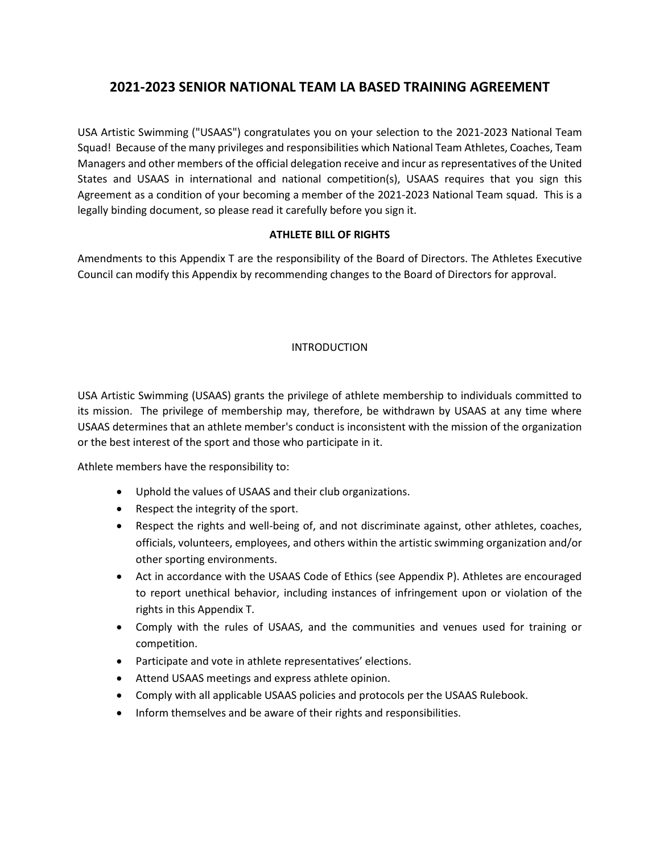# **2021-2023 SENIOR NATIONAL TEAM LA BASED TRAINING AGREEMENT**

USA Artistic Swimming ("USAAS") congratulates you on your selection to the 2021-2023 National Team Squad! Because of the many privileges and responsibilities which National Team Athletes, Coaches, Team Managers and other members of the official delegation receive and incur as representatives of the United States and USAAS in international and national competition(s), USAAS requires that you sign this Agreement as a condition of your becoming a member of the 2021-2023 National Team squad. This is a legally binding document, so please read it carefully before you sign it.

## **ATHLETE BILL OF RIGHTS**

Amendments to this Appendix T are the responsibility of the Board of Directors. The Athletes Executive Council can modify this Appendix by recommending changes to the Board of Directors for approval.

## INTRODUCTION

USA Artistic Swimming (USAAS) grants the privilege of athlete membership to individuals committed to its mission. The privilege of membership may, therefore, be withdrawn by USAAS at any time where USAAS determines that an athlete member's conduct is inconsistent with the mission of the organization or the best interest of the sport and those who participate in it.

Athlete members have the responsibility to:

- Uphold the values of USAAS and their club organizations.
- Respect the integrity of the sport.
- Respect the rights and well-being of, and not discriminate against, other athletes, coaches, officials, volunteers, employees, and others within the artistic swimming organization and/or other sporting environments.
- Act in accordance with the USAAS Code of Ethics (see Appendix P). Athletes are encouraged to report unethical behavior, including instances of infringement upon or violation of the rights in this Appendix T.
- Comply with the rules of USAAS, and the communities and venues used for training or competition.
- Participate and vote in athlete representatives' elections.
- Attend USAAS meetings and express athlete opinion.
- Comply with all applicable USAAS policies and protocols per the USAAS Rulebook.
- Inform themselves and be aware of their rights and responsibilities.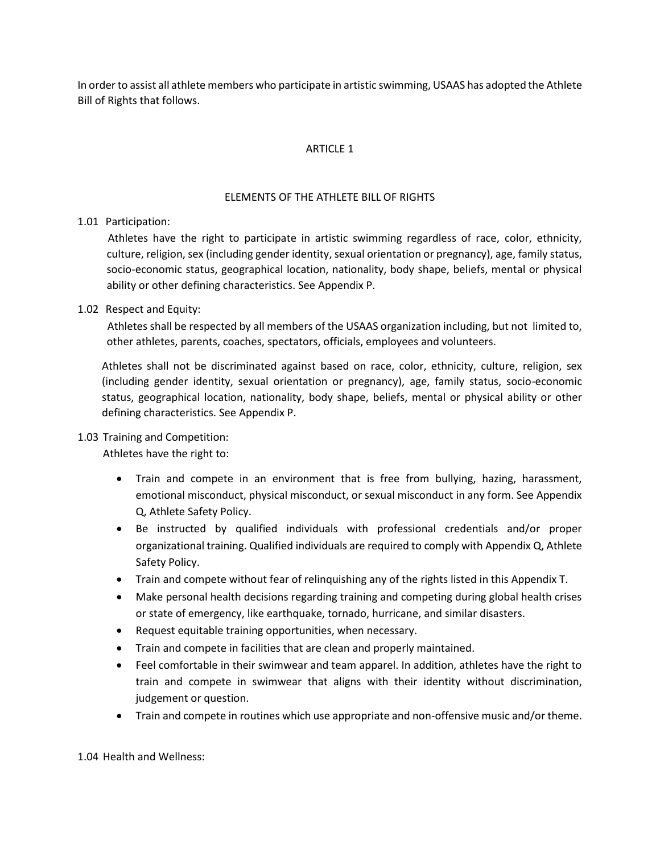In order to assist all athlete members who participate in artistic swimming, USAAS has adopted the Athlete Bill of Rights that follows.

## ARTICLE 1

#### ELEMENTS OF THE ATHLETE BILL OF RIGHTS

#### 1.01 Participation:

 Athletes have the right to participate in artistic swimming regardless of race, color, ethnicity, culture, religion, sex (including gender identity, sexual orientation or pregnancy), age, family status, socio-economic status, geographical location, nationality, body shape, beliefs, mental or physical ability or other defining characteristics. See Appendix P.

#### 1.02 Respect and Equity:

 Athletes shall be respected by all members of the USAAS organization including, but not limited to, other athletes, parents, coaches, spectators, officials, employees and volunteers.

Athletes shall not be discriminated against based on race, color, ethnicity, culture, religion, sex (including gender identity, sexual orientation or pregnancy), age, family status, socio-economic status, geographical location, nationality, body shape, beliefs, mental or physical ability or other defining characteristics. See Appendix P.

#### 1.03 Training and Competition:

Athletes have the right to:

- Train and compete in an environment that is free from bullying, hazing, harassment, emotional misconduct, physical misconduct, or sexual misconduct in any form. See Appendix Q, Athlete Safety Policy.
- Be instructed by qualified individuals with professional credentials and/or proper organizational training. Qualified individuals are required to comply with Appendix Q, Athlete Safety Policy.
- Train and compete without fear of relinquishing any of the rights listed in this Appendix T.
- Make personal health decisions regarding training and competing during global health crises or state of emergency, like earthquake, tornado, hurricane, and similar disasters.
- Request equitable training opportunities, when necessary.
- Train and compete in facilities that are clean and properly maintained.
- Feel comfortable in their swimwear and team apparel. In addition, athletes have the right to train and compete in swimwear that aligns with their identity without discrimination, judgement or question.
- Train and compete in routines which use appropriate and non-offensive music and/or theme.

1.04 Health and Wellness: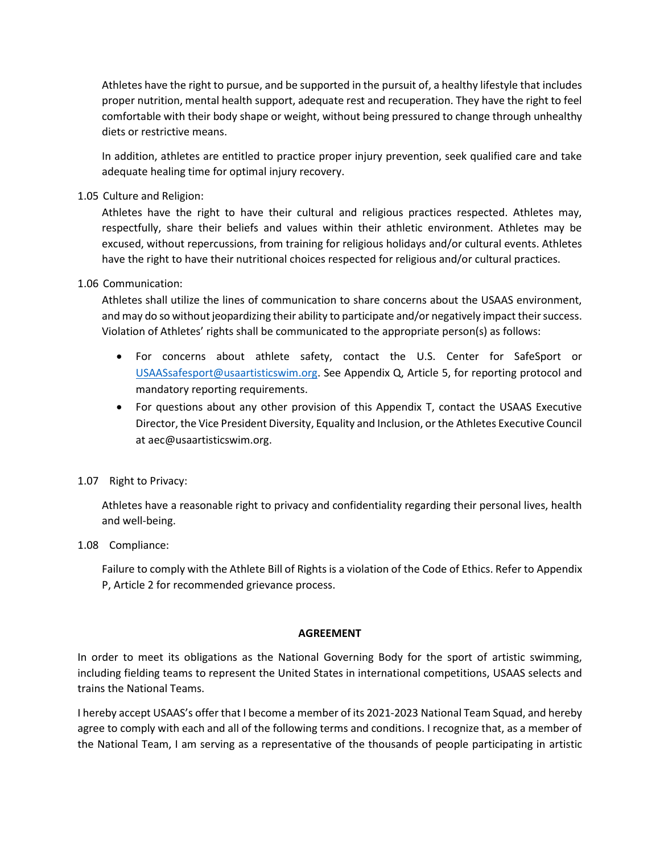Athletes have the right to pursue, and be supported in the pursuit of, a healthy lifestyle that includes proper nutrition, mental health support, adequate rest and recuperation. They have the right to feel comfortable with their body shape or weight, without being pressured to change through unhealthy diets or restrictive means.

In addition, athletes are entitled to practice proper injury prevention, seek qualified care and take adequate healing time for optimal injury recovery.

#### 1.05 Culture and Religion:

Athletes have the right to have their cultural and religious practices respected. Athletes may, respectfully, share their beliefs and values within their athletic environment. Athletes may be excused, without repercussions, from training for religious holidays and/or cultural events. Athletes have the right to have their nutritional choices respected for religious and/or cultural practices.

#### 1.06 Communication:

Athletes shall utilize the lines of communication to share concerns about the USAAS environment, and may do so without jeopardizing their ability to participate and/or negatively impact their success. Violation of Athletes' rights shall be communicated to the appropriate person(s) as follows:

- For concerns about athlete safety, contact the U.S. [Center for SafeSport](https://safesport.i-sight.com/portal) or [USAASsafesport@usaartisticswim.org.](mailto:USAASsafesport@usaartisticswim.org) See Appendix Q, Article 5, for reporting protocol and mandatory reporting requirements.
- For questions about any other provision of this Appendix T, contact the USAAS Executive Director, the Vice President Diversity, Equality and Inclusion, or the Athletes Executive Council a[t aec@usaartisticswim.org.](mailto:aec@usaartisticswim.org)

#### 1.07 Right to Privacy:

Athletes have a reasonable right to privacy and confidentiality regarding their personal lives, health and well-being.

#### 1.08 Compliance:

Failure to comply with the Athlete Bill of Rights is a violation of the Code of Ethics. Refer to Appendix P, Article 2 for recommended grievance process.

#### **AGREEMENT**

In order to meet its obligations as the National Governing Body for the sport of artistic swimming, including fielding teams to represent the United States in international competitions, USAAS selects and trains the National Teams.

I hereby accept USAAS's offer that I become a member of its 2021-2023 National Team Squad, and hereby agree to comply with each and all of the following terms and conditions. I recognize that, as a member of the National Team, I am serving as a representative of the thousands of people participating in artistic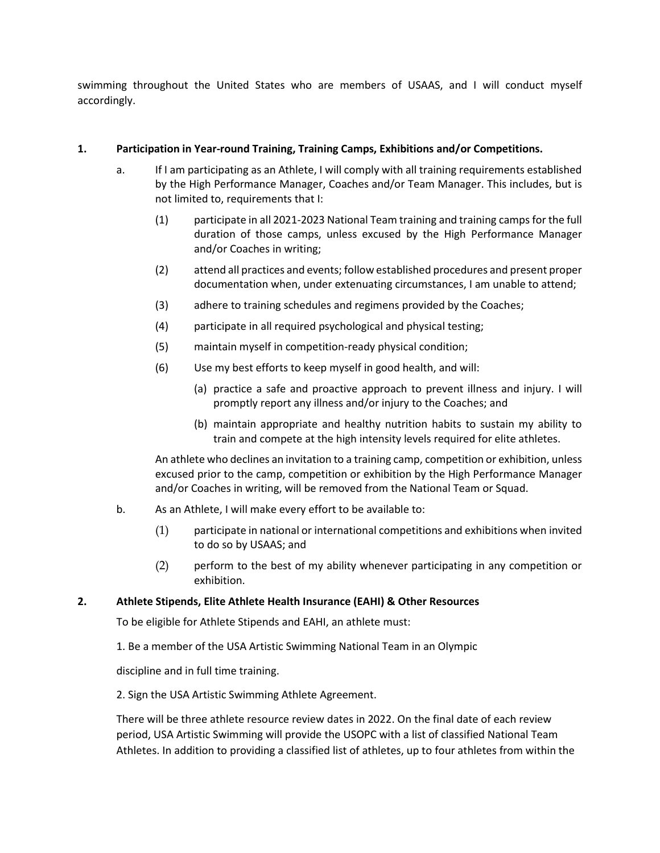swimming throughout the United States who are members of USAAS, and I will conduct myself accordingly.

#### **1. Participation in Year-round Training, Training Camps, Exhibitions and/or Competitions.**

- a. If I am participating as an Athlete, I will comply with all training requirements established by the High Performance Manager, Coaches and/or Team Manager. This includes, but is not limited to, requirements that I:
	- (1) participate in all 2021-2023 National Team training and training camps for the full duration of those camps, unless excused by the High Performance Manager and/or Coaches in writing;
	- (2) attend all practices and events; follow established procedures and present proper documentation when, under extenuating circumstances, I am unable to attend;
	- (3) adhere to training schedules and regimens provided by the Coaches;
	- (4) participate in all required psychological and physical testing;
	- (5) maintain myself in competition-ready physical condition;
	- (6) Use my best efforts to keep myself in good health, and will:
		- (a) practice a safe and proactive approach to prevent illness and injury. I will promptly report any illness and/or injury to the Coaches; and
		- (b) maintain appropriate and healthy nutrition habits to sustain my ability to train and compete at the high intensity levels required for elite athletes.

An athlete who declines an invitation to a training camp, competition or exhibition, unless excused prior to the camp, competition or exhibition by the High Performance Manager and/or Coaches in writing, will be removed from the National Team or Squad.

- b. As an Athlete, I will make every effort to be available to:
	- (1) participate in national or international competitions and exhibitions when invited to do so by USAAS; and
	- (2) perform to the best of my ability whenever participating in any competition or exhibition.

#### **2. Athlete Stipends, Elite Athlete Health Insurance (EAHI) & Other Resources**

To be eligible for Athlete Stipends and EAHI, an athlete must:

1. Be a member of the USA Artistic Swimming National Team in an Olympic

discipline and in full time training.

2. Sign the USA Artistic Swimming Athlete Agreement.

There will be three athlete resource review dates in 2022. On the final date of each review period, USA Artistic Swimming will provide the USOPC with a list of classified National Team Athletes. In addition to providing a classified list of athletes, up to four athletes from within the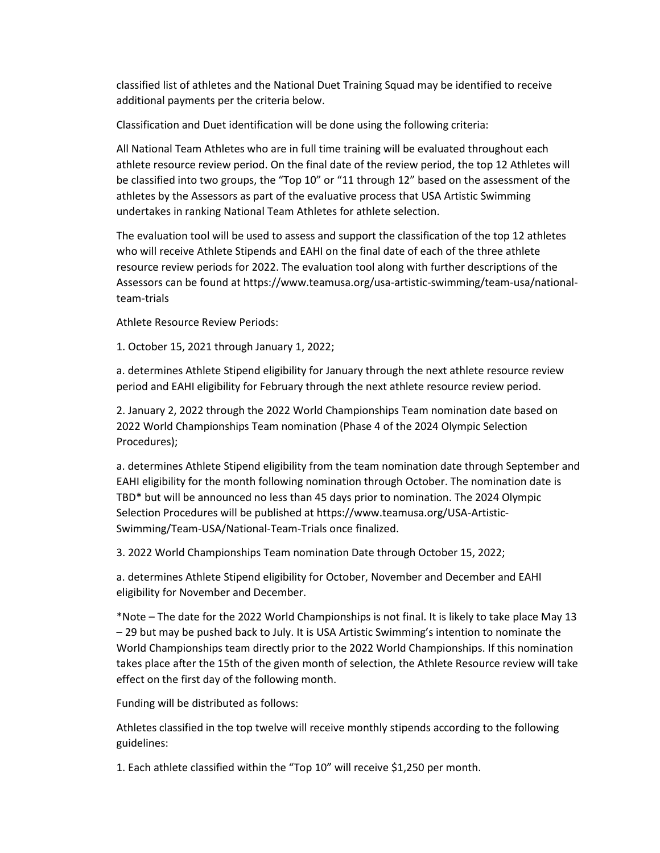classified list of athletes and the National Duet Training Squad may be identified to receive additional payments per the criteria below.

Classification and Duet identification will be done using the following criteria:

All National Team Athletes who are in full time training will be evaluated throughout each athlete resource review period. On the final date of the review period, the top 12 Athletes will be classified into two groups, the "Top 10" or "11 through 12" based on the assessment of the athletes by the Assessors as part of the evaluative process that USA Artistic Swimming undertakes in ranking National Team Athletes for athlete selection.

The evaluation tool will be used to assess and support the classification of the top 12 athletes who will receive Athlete Stipends and EAHI on the final date of each of the three athlete resource review periods for 2022. The evaluation tool along with further descriptions of the Assessors can be found at https://www.teamusa.org/usa-artistic-swimming/team-usa/nationalteam-trials

Athlete Resource Review Periods:

1. October 15, 2021 through January 1, 2022;

a. determines Athlete Stipend eligibility for January through the next athlete resource review period and EAHI eligibility for February through the next athlete resource review period.

2. January 2, 2022 through the 2022 World Championships Team nomination date based on 2022 World Championships Team nomination (Phase 4 of the 2024 Olympic Selection Procedures);

a. determines Athlete Stipend eligibility from the team nomination date through September and EAHI eligibility for the month following nomination through October. The nomination date is TBD\* but will be announced no less than 45 days prior to nomination. The 2024 Olympic Selection Procedures will be published at https://www.teamusa.org/USA-Artistic-Swimming/Team-USA/National-Team-Trials once finalized.

3. 2022 World Championships Team nomination Date through October 15, 2022;

a. determines Athlete Stipend eligibility for October, November and December and EAHI eligibility for November and December.

\*Note – The date for the 2022 World Championships is not final. It is likely to take place May 13 – 29 but may be pushed back to July. It is USA Artistic Swimming's intention to nominate the World Championships team directly prior to the 2022 World Championships. If this nomination takes place after the 15th of the given month of selection, the Athlete Resource review will take effect on the first day of the following month.

Funding will be distributed as follows:

Athletes classified in the top twelve will receive monthly stipends according to the following guidelines:

1. Each athlete classified within the "Top 10" will receive \$1,250 per month.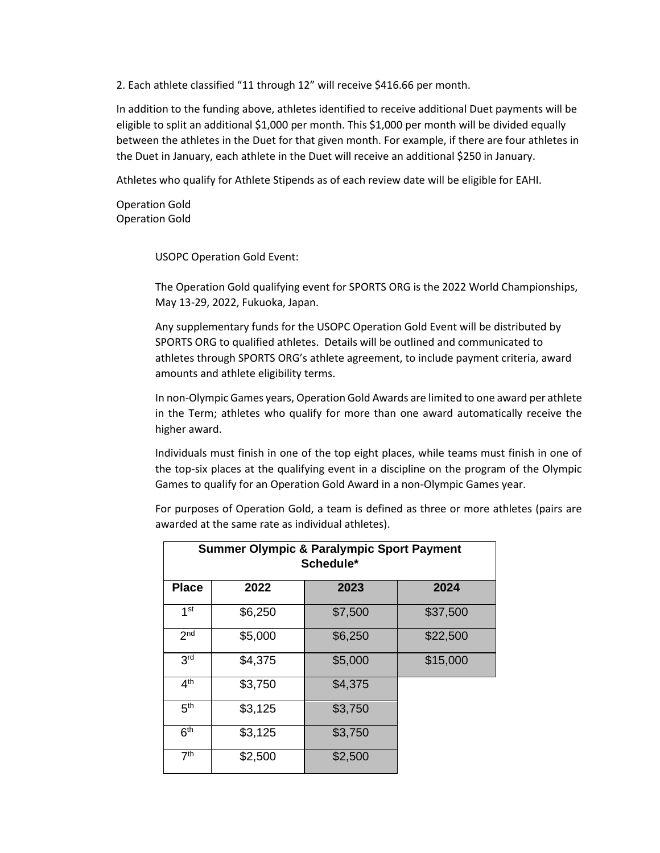2. Each athlete classified "11 through 12" will receive \$416.66 per month.

In addition to the funding above, athletes identified to receive additional Duet payments will be eligible to split an additional \$1,000 per month. This \$1,000 per month will be divided equally between the athletes in the Duet for that given month. For example, if there are four athletes in the Duet in January, each athlete in the Duet will receive an additional \$250 in January.

Athletes who qualify for Athlete Stipends as of each review date will be eligible for EAHI.

Operation Gold Operation Gold

USOPC Operation Gold Event:

The Operation Gold qualifying event for SPORTS ORG is the 2022 World Championships, May 13-29, 2022, Fukuoka, Japan.

Any supplementary funds for the USOPC Operation Gold Event will be distributed by SPORTS ORG to qualified athletes. Details will be outlined and communicated to athletes through SPORTS ORG's athlete agreement, to include payment criteria, award amounts and athlete eligibility terms.

In non-Olympic Games years, Operation Gold Awards are limited to one award per athlete in the Term; athletes who qualify for more than one award automatically receive the higher award.

Individuals must finish in one of the top eight places, while teams must finish in one of the top-six places at the qualifying event in a discipline on the program of the Olympic Games to qualify for an Operation Gold Award in a non-Olympic Games year.

For purposes of Operation Gold, a team is defined as three or more athletes (pairs are awarded at the same rate as individual athletes).

| <b>Summer Olympic &amp; Paralympic Sport Payment</b><br>Schedule* |         |         |          |
|-------------------------------------------------------------------|---------|---------|----------|
| <b>Place</b>                                                      | 2022    | 2023    | 2024     |
| 1 <sup>st</sup>                                                   | \$6,250 | \$7,500 | \$37,500 |
| 2 <sub>nd</sub>                                                   | \$5,000 | \$6,250 | \$22,500 |
| 3 <sup>rd</sup>                                                   | \$4,375 | \$5,000 | \$15,000 |
| 4 <sup>th</sup>                                                   | \$3,750 | \$4,375 |          |
| 5 <sup>th</sup>                                                   | \$3,125 | \$3,750 |          |
| 6 <sup>th</sup>                                                   | \$3,125 | \$3,750 |          |
| 7 <sup>th</sup>                                                   | \$2,500 | \$2,500 |          |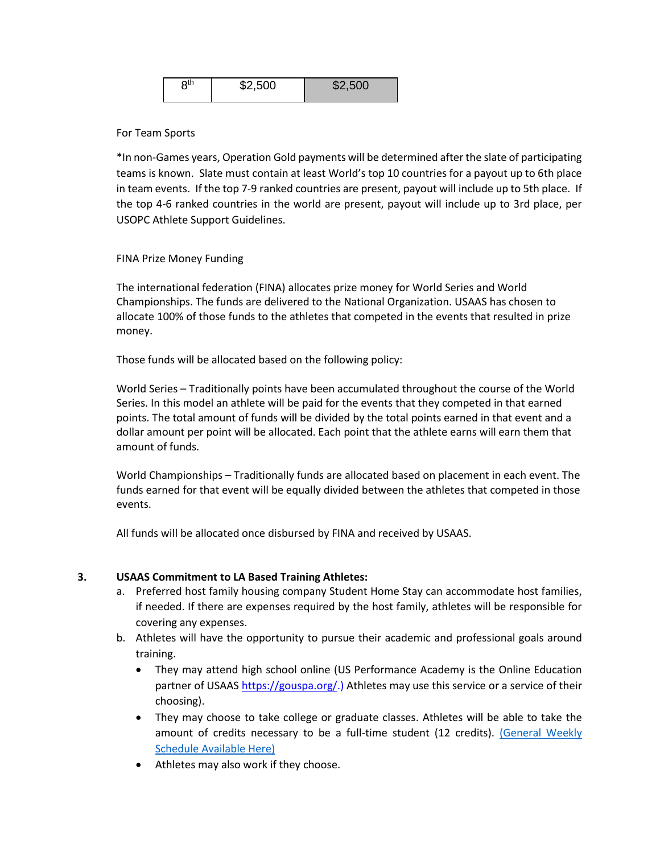| $8^{\sf th}$ | \$2,500 | \$2,500 |
|--------------|---------|---------|
|              |         |         |

#### For Team Sports

\*In non-Games years, Operation Gold payments will be determined after the slate of participating teams is known. Slate must contain at least World's top 10 countries for a payout up to 6th place in team events. If the top 7-9 ranked countries are present, payout will include up to 5th place. If the top 4-6 ranked countries in the world are present, payout will include up to 3rd place, per USOPC Athlete Support Guidelines.

## FINA Prize Money Funding

The international federation (FINA) allocates prize money for World Series and World Championships. The funds are delivered to the National Organization. USAAS has chosen to allocate 100% of those funds to the athletes that competed in the events that resulted in prize money.

Those funds will be allocated based on the following policy:

World Series – Traditionally points have been accumulated throughout the course of the World Series. In this model an athlete will be paid for the events that they competed in that earned points. The total amount of funds will be divided by the total points earned in that event and a dollar amount per point will be allocated. Each point that the athlete earns will earn them that amount of funds.

World Championships – Traditionally funds are allocated based on placement in each event. The funds earned for that event will be equally divided between the athletes that competed in those events.

All funds will be allocated once disbursed by FINA and received by USAAS.

## **3. USAAS Commitment to LA Based Training Athletes:**

- a. Preferred host family housing company Student Home Stay can accommodate host families, if needed. If there are expenses required by the host family, athletes will be responsible for covering any expenses.
- b. Athletes will have the opportunity to pursue their academic and professional goals around training.
	- They may attend high school online (US Performance Academy is the Online Education partner of USAAS [https://gouspa.org/.](https://gouspa.org/)) Athletes may use this service or a service of their choosing).
	- They may choose to take college or graduate classes. Athletes will be able to take the amount of credits necessary to be a full-time student (12 credits). (General Weekly [Schedule Available Here\)](https://usolympic.sharepoint.com/:w:/t/Synchro/EdPwjvwLLbJGqWulhmGX3qoB_Tterai6oMC9Pax0rK_xJQ?e=RFHa6d)
	- Athletes may also work if they choose.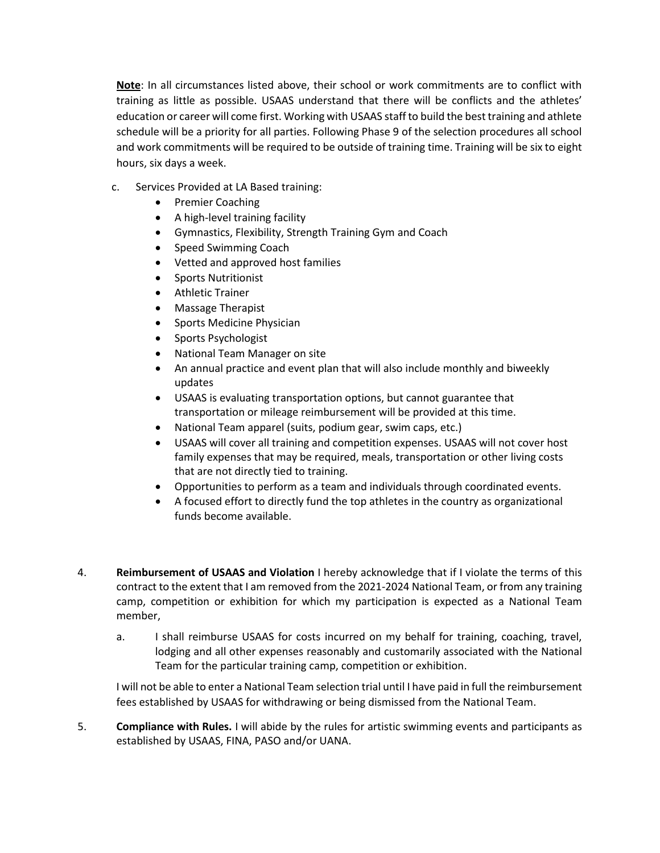**Note**: In all circumstances listed above, their school or work commitments are to conflict with training as little as possible. USAAS understand that there will be conflicts and the athletes' education or career will come first. Working with USAAS staff to build the best training and athlete schedule will be a priority for all parties. Following Phase 9 of the selection procedures all school and work commitments will be required to be outside of training time. Training will be six to eight hours, six days a week.

- c. Services Provided at LA Based training:
	- Premier Coaching
	- A high-level training facility
	- Gymnastics, Flexibility, Strength Training Gym and Coach
	- Speed Swimming Coach
	- Vetted and approved host families
	- Sports Nutritionist
	- Athletic Trainer
	- Massage Therapist
	- Sports Medicine Physician
	- Sports Psychologist
	- National Team Manager on site
	- An annual practice and event plan that will also include monthly and biweekly updates
	- USAAS is evaluating transportation options, but cannot guarantee that transportation or mileage reimbursement will be provided at this time.
	- National Team apparel (suits, podium gear, swim caps, etc.)
	- USAAS will cover all training and competition expenses. USAAS will not cover host family expenses that may be required, meals, transportation or other living costs that are not directly tied to training.
	- Opportunities to perform as a team and individuals through coordinated events.
	- A focused effort to directly fund the top athletes in the country as organizational funds become available.
- 4. **Reimbursement of USAAS and Violation** I hereby acknowledge that if I violate the terms of this contract to the extent that I am removed from the 2021-2024 National Team, or from any training camp, competition or exhibition for which my participation is expected as a National Team member,
	- a. I shall reimburse USAAS for costs incurred on my behalf for training, coaching, travel, lodging and all other expenses reasonably and customarily associated with the National Team for the particular training camp, competition or exhibition.

I will not be able to enter a National Team selection trial until I have paid in full the reimbursement fees established by USAAS for withdrawing or being dismissed from the National Team.

5. **Compliance with Rules.** I will abide by the rules for artistic swimming events and participants as established by USAAS, FINA, PASO and/or UANA.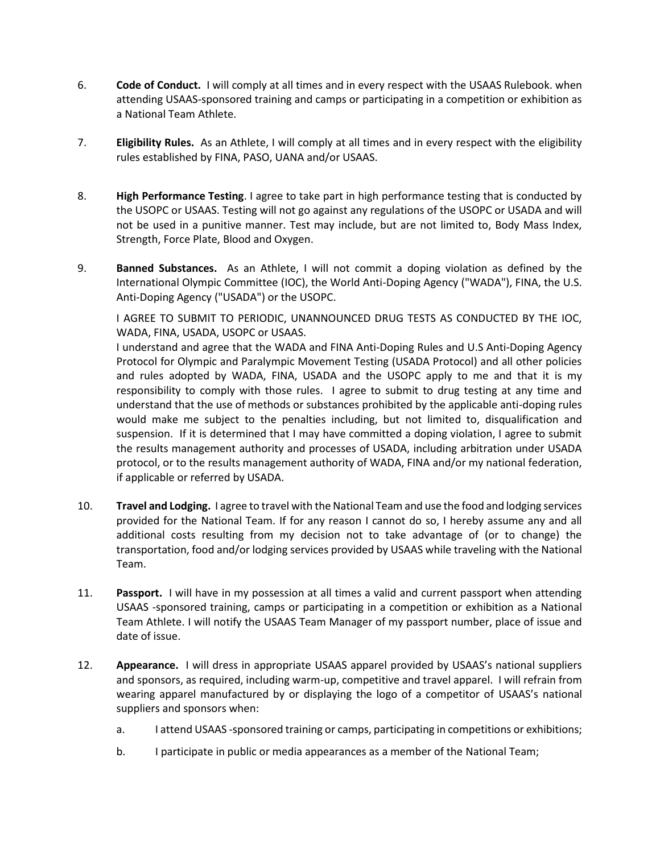- 6. **Code of Conduct.** I will comply at all times and in every respect with the USAAS Rulebook. when attending USAAS-sponsored training and camps or participating in a competition or exhibition as a National Team Athlete.
- 7. **Eligibility Rules.** As an Athlete, I will comply at all times and in every respect with the eligibility rules established by FINA, PASO, UANA and/or USAAS.
- 8. **High Performance Testing**. I agree to take part in high performance testing that is conducted by the USOPC or USAAS. Testing will not go against any regulations of the USOPC or USADA and will not be used in a punitive manner. Test may include, but are not limited to, Body Mass Index, Strength, Force Plate, Blood and Oxygen.
- 9. **Banned Substances.** As an Athlete, I will not commit a doping violation as defined by the International Olympic Committee (IOC), the World Anti-Doping Agency ("WADA"), FINA, the U.S. Anti-Doping Agency ("USADA") or the USOPC.

I AGREE TO SUBMIT TO PERIODIC, UNANNOUNCED DRUG TESTS AS CONDUCTED BY THE IOC, WADA, FINA, USADA, USOPC or USAAS.

I understand and agree that the WADA and FINA Anti-Doping Rules and U.S Anti-Doping Agency Protocol for Olympic and Paralympic Movement Testing (USADA Protocol) and all other policies and rules adopted by WADA, FINA, USADA and the USOPC apply to me and that it is my responsibility to comply with those rules. I agree to submit to drug testing at any time and understand that the use of methods or substances prohibited by the applicable anti-doping rules would make me subject to the penalties including, but not limited to, disqualification and suspension. If it is determined that I may have committed a doping violation, I agree to submit the results management authority and processes of USADA, including arbitration under USADA protocol, or to the results management authority of WADA, FINA and/or my national federation, if applicable or referred by USADA.

- 10. **Travel and Lodging.** I agree to travel with the National Team and use the food and lodging services provided for the National Team. If for any reason I cannot do so, I hereby assume any and all additional costs resulting from my decision not to take advantage of (or to change) the transportation, food and/or lodging services provided by USAAS while traveling with the National Team.
- 11. **Passport.** I will have in my possession at all times a valid and current passport when attending USAAS -sponsored training, camps or participating in a competition or exhibition as a National Team Athlete. I will notify the USAAS Team Manager of my passport number, place of issue and date of issue.
- 12. **Appearance.** I will dress in appropriate USAAS apparel provided by USAAS's national suppliers and sponsors, as required, including warm-up, competitive and travel apparel. I will refrain from wearing apparel manufactured by or displaying the logo of a competitor of USAAS's national suppliers and sponsors when:
	- a. I attend USAAS -sponsored training or camps, participating in competitions or exhibitions;
	- b. I participate in public or media appearances as a member of the National Team;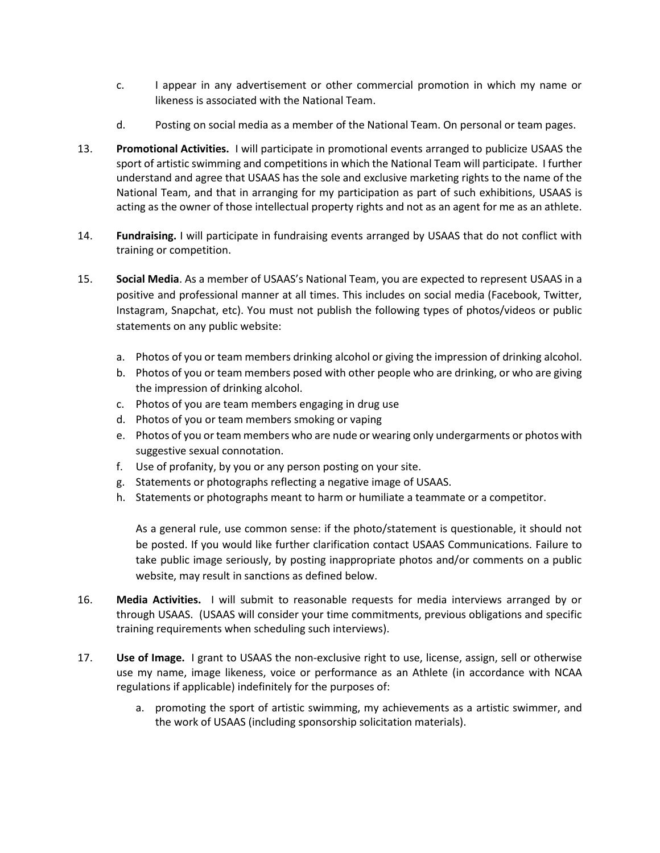- c. I appear in any advertisement or other commercial promotion in which my name or likeness is associated with the National Team.
- d. Posting on social media as a member of the National Team. On personal or team pages.
- 13. **Promotional Activities.** I will participate in promotional events arranged to publicize USAAS the sport of artistic swimming and competitions in which the National Team will participate. I further understand and agree that USAAS has the sole and exclusive marketing rights to the name of the National Team, and that in arranging for my participation as part of such exhibitions, USAAS is acting as the owner of those intellectual property rights and not as an agent for me as an athlete.
- 14. **Fundraising.** I will participate in fundraising events arranged by USAAS that do not conflict with training or competition.
- 15. **Social Media**. As a member of USAAS's National Team, you are expected to represent USAAS in a positive and professional manner at all times. This includes on social media (Facebook, Twitter, Instagram, Snapchat, etc). You must not publish the following types of photos/videos or public statements on any public website:
	- a. Photos of you or team members drinking alcohol or giving the impression of drinking alcohol.
	- b. Photos of you or team members posed with other people who are drinking, or who are giving the impression of drinking alcohol.
	- c. Photos of you are team members engaging in drug use
	- d. Photos of you or team members smoking or vaping
	- e. Photos of you or team members who are nude or wearing only undergarments or photos with suggestive sexual connotation.
	- f. Use of profanity, by you or any person posting on your site.
	- g. Statements or photographs reflecting a negative image of USAAS.
	- h. Statements or photographs meant to harm or humiliate a teammate or a competitor.

As a general rule, use common sense: if the photo/statement is questionable, it should not be posted. If you would like further clarification contact USAAS Communications. Failure to take public image seriously, by posting inappropriate photos and/or comments on a public website, may result in sanctions as defined below.

- 16. **Media Activities.** I will submit to reasonable requests for media interviews arranged by or through USAAS. (USAAS will consider your time commitments, previous obligations and specific training requirements when scheduling such interviews).
- 17. **Use of Image.** I grant to USAAS the non-exclusive right to use, license, assign, sell or otherwise use my name, image likeness, voice or performance as an Athlete (in accordance with NCAA regulations if applicable) indefinitely for the purposes of:
	- a. promoting the sport of artistic swimming, my achievements as a artistic swimmer, and the work of USAAS (including sponsorship solicitation materials).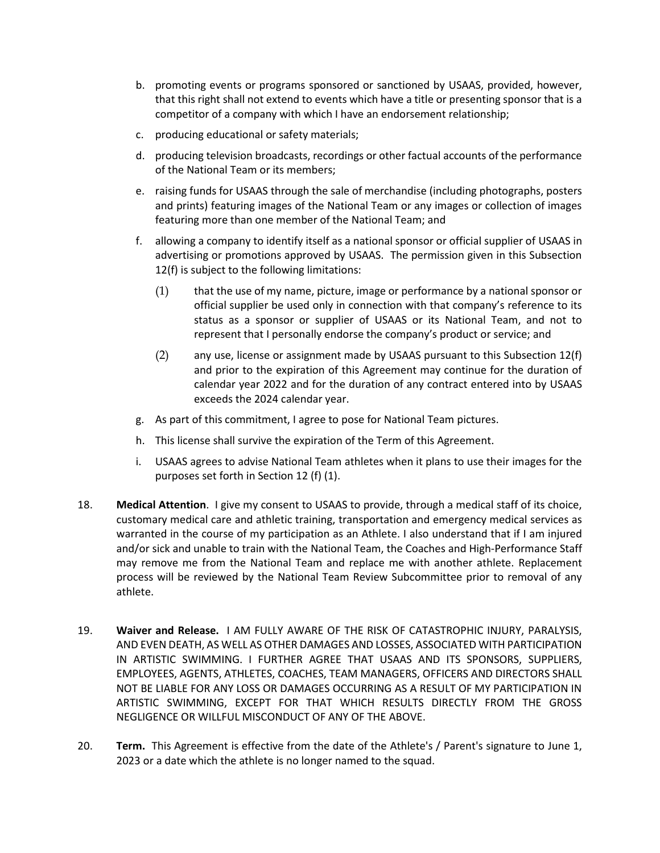- b. promoting events or programs sponsored or sanctioned by USAAS, provided, however, that this right shall not extend to events which have a title or presenting sponsor that is a competitor of a company with which I have an endorsement relationship;
- c. producing educational or safety materials;
- d. producing television broadcasts, recordings or other factual accounts of the performance of the National Team or its members;
- e. raising funds for USAAS through the sale of merchandise (including photographs, posters and prints) featuring images of the National Team or any images or collection of images featuring more than one member of the National Team; and
- f. allowing a company to identify itself as a national sponsor or official supplier of USAAS in advertising or promotions approved by USAAS. The permission given in this Subsection 12(f) is subject to the following limitations:
	- $(1)$  that the use of my name, picture, image or performance by a national sponsor or official supplier be used only in connection with that company's reference to its status as a sponsor or supplier of USAAS or its National Team, and not to represent that I personally endorse the company's product or service; and
	- (2) any use, license or assignment made by USAAS pursuant to this Subsection 12(f) and prior to the expiration of this Agreement may continue for the duration of calendar year 2022 and for the duration of any contract entered into by USAAS exceeds the 2024 calendar year.
- g. As part of this commitment, I agree to pose for National Team pictures.
- h. This license shall survive the expiration of the Term of this Agreement.
- i. USAAS agrees to advise National Team athletes when it plans to use their images for the purposes set forth in Section 12 (f) (1).
- 18. **Medical Attention**. I give my consent to USAAS to provide, through a medical staff of its choice, customary medical care and athletic training, transportation and emergency medical services as warranted in the course of my participation as an Athlete. I also understand that if I am injured and/or sick and unable to train with the National Team, the Coaches and High-Performance Staff may remove me from the National Team and replace me with another athlete. Replacement process will be reviewed by the National Team Review Subcommittee prior to removal of any athlete.
- 19. **Waiver and Release.** I AM FULLY AWARE OF THE RISK OF CATASTROPHIC INJURY, PARALYSIS, AND EVEN DEATH, AS WELL AS OTHER DAMAGES AND LOSSES, ASSOCIATED WITH PARTICIPATION IN ARTISTIC SWIMMING. I FURTHER AGREE THAT USAAS AND ITS SPONSORS, SUPPLIERS, EMPLOYEES, AGENTS, ATHLETES, COACHES, TEAM MANAGERS, OFFICERS AND DIRECTORS SHALL NOT BE LIABLE FOR ANY LOSS OR DAMAGES OCCURRING AS A RESULT OF MY PARTICIPATION IN ARTISTIC SWIMMING, EXCEPT FOR THAT WHICH RESULTS DIRECTLY FROM THE GROSS NEGLIGENCE OR WILLFUL MISCONDUCT OF ANY OF THE ABOVE.
- 20. **Term.** This Agreement is effective from the date of the Athlete's / Parent's signature to June 1, 2023 or a date which the athlete is no longer named to the squad.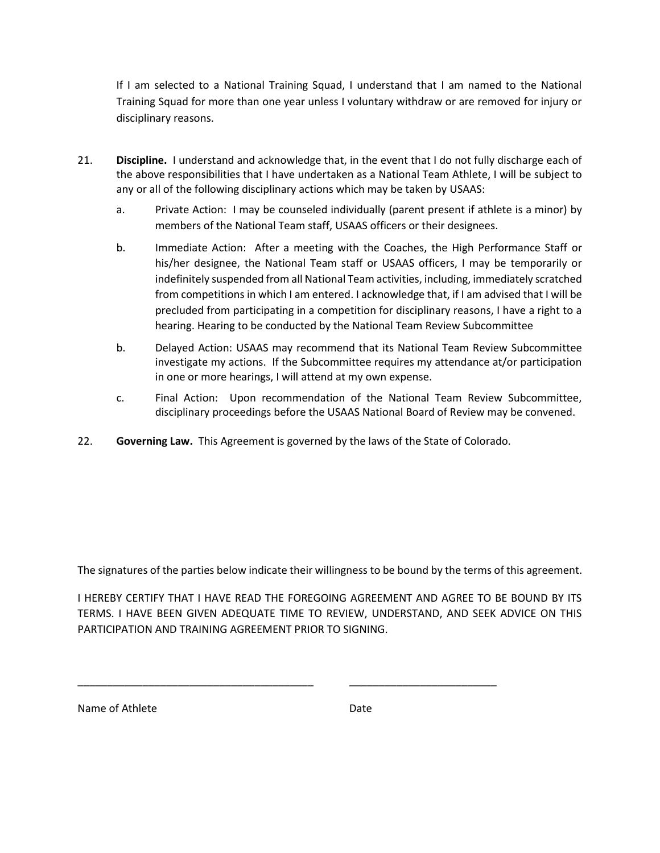If I am selected to a National Training Squad, I understand that I am named to the National Training Squad for more than one year unless I voluntary withdraw or are removed for injury or disciplinary reasons.

- 21. **Discipline.** I understand and acknowledge that, in the event that I do not fully discharge each of the above responsibilities that I have undertaken as a National Team Athlete, I will be subject to any or all of the following disciplinary actions which may be taken by USAAS:
	- a. Private Action: I may be counseled individually (parent present if athlete is a minor) by members of the National Team staff, USAAS officers or their designees.
	- b. Immediate Action: After a meeting with the Coaches, the High Performance Staff or his/her designee, the National Team staff or USAAS officers, I may be temporarily or indefinitely suspended from all National Team activities, including, immediately scratched from competitions in which I am entered. I acknowledge that, if I am advised that I will be precluded from participating in a competition for disciplinary reasons, I have a right to a hearing. Hearing to be conducted by the National Team Review Subcommittee
	- b. Delayed Action: USAAS may recommend that its National Team Review Subcommittee investigate my actions. If the Subcommittee requires my attendance at/or participation in one or more hearings, I will attend at my own expense.
	- c. Final Action: Upon recommendation of the National Team Review Subcommittee, disciplinary proceedings before the USAAS National Board of Review may be convened.
- 22. **Governing Law.** This Agreement is governed by the laws of the State of Colorado.

\_\_\_\_\_\_\_\_\_\_\_\_\_\_\_\_\_\_\_\_\_\_\_\_\_\_\_\_\_\_\_\_\_\_\_\_\_\_\_\_ \_\_\_\_\_\_\_\_\_\_\_\_\_\_\_\_\_\_\_\_\_\_\_\_\_

The signatures of the parties below indicate their willingness to be bound by the terms of this agreement.

I HEREBY CERTIFY THAT I HAVE READ THE FOREGOING AGREEMENT AND AGREE TO BE BOUND BY ITS TERMS. I HAVE BEEN GIVEN ADEQUATE TIME TO REVIEW, UNDERSTAND, AND SEEK ADVICE ON THIS PARTICIPATION AND TRAINING AGREEMENT PRIOR TO SIGNING.

Name of Athlete **Date** Date